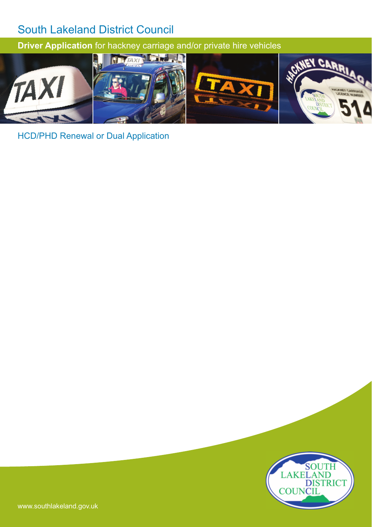**Driver Application** for hackney carriage and/or private hire vehicles



HCD/PHD Renewal or Dual Application

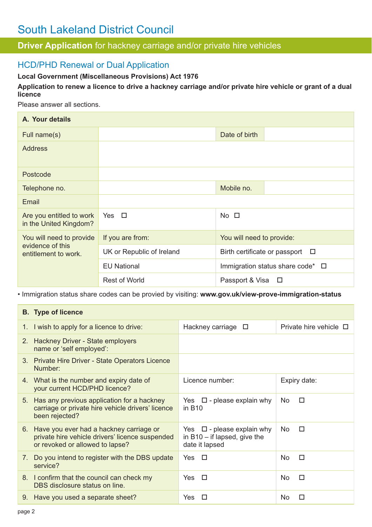### **Driver Application** for hackney carriage and/or private hire vehicles

### HCD/PHD Renewal or Dual Application

#### **Local Government (Miscellaneous Provisions) Act 1976**

#### **Application to renew a licence to drive a hackney carriage and/or private hire vehicle or grant of a dual licence**

Please answer all sections.

| A. Your details                                    |                           |                                      |  |
|----------------------------------------------------|---------------------------|--------------------------------------|--|
| Full name(s)                                       |                           | Date of birth                        |  |
| <b>Address</b>                                     |                           |                                      |  |
| Postcode                                           |                           |                                      |  |
| Telephone no.                                      |                           | Mobile no.                           |  |
| Email                                              |                           |                                      |  |
| Are you entitled to work<br>in the United Kingdom? | Yes $\Box$                | $No$ $\square$                       |  |
| You will need to provide                           | If you are from:          | You will need to provide:            |  |
| evidence of this<br>entitlement to work.           | UK or Republic of Ireland | Birth certificate or passport $\Box$ |  |
|                                                    | <b>EU National</b>        | Immigration status share code* □     |  |
|                                                    | <b>Rest of World</b>      | Passport & Visa □                    |  |

• Immigration status share codes can be provied by visiting: **www.gov.uk/view-prove-immigration-status**

| <b>B.</b> Type of licence                                                                                                        |                                                                                     |                             |  |  |
|----------------------------------------------------------------------------------------------------------------------------------|-------------------------------------------------------------------------------------|-----------------------------|--|--|
| 1. I wish to apply for a licence to drive:                                                                                       | Hackney carriage $\Box$                                                             | Private hire vehicle $\Box$ |  |  |
| 2. Hackney Driver - State employers<br>name or 'self employed':                                                                  |                                                                                     |                             |  |  |
| 3. Private Hire Driver - State Operators Licence<br>Number:                                                                      |                                                                                     |                             |  |  |
| 4. What is the number and expiry date of<br>your current HCD/PHD licence?                                                        | Licence number:                                                                     | Expiry date:                |  |  |
| 5. Has any previous application for a hackney<br>carriage or private hire vehicle drivers' licence<br>been rejected?             | Yes $\Box$ - please explain why<br>in B10                                           | No.<br>П                    |  |  |
| 6. Have you ever had a hackney carriage or<br>private hire vehicle drivers' licence suspended<br>or revoked or allowed to lapse? | Yes $\Box$ - please explain why<br>in $B10 - if$ lapsed, give the<br>date it lapsed | п<br>No.                    |  |  |
| 7. Do you intend to register with the DBS update<br>service?                                                                     | Yes $\Box$                                                                          | No<br>П                     |  |  |
| 8. I confirm that the council can check my<br>DBS disclosure status on line.                                                     | Yes<br>$\Box$                                                                       | No<br>П                     |  |  |
| 9. Have you used a separate sheet?                                                                                               | Yes<br>$\Box$                                                                       | No<br>П                     |  |  |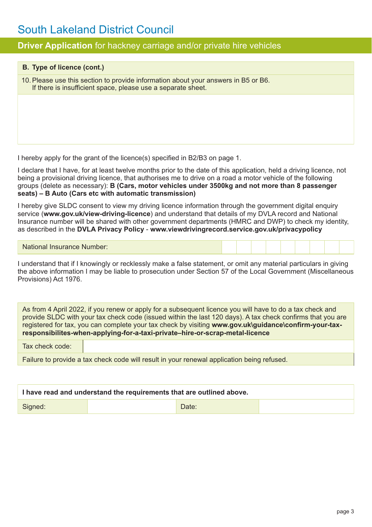#### **Driver Application** for hackney carriage and/or private hire vehicles

| B. Type of licence (cont.)                                                                                                                         |
|----------------------------------------------------------------------------------------------------------------------------------------------------|
| 10. Please use this section to provide information about your answers in B5 or B6.<br>If there is insufficient space, please use a separate sheet. |
|                                                                                                                                                    |
|                                                                                                                                                    |
|                                                                                                                                                    |

I hereby apply for the grant of the licence(s) specified in B2/B3 on page 1.

I declare that I have, for at least twelve months prior to the date of this application, held a driving licence, not being a provisional driving licence, that authorises me to drive on a road a motor vehicle of the following groups (delete as necessary): **B (Cars, motor vehicles under 3500kg and not more than 8 passenger seats) – B Auto (Cars etc with automatic transmission)** 

I hereby give SLDC consent to view my driving licence information through the government digital enquiry service (**www.gov.uk/view-driving-licence**) and understand that details of my DVLA record and National Insurance number will be shared with other government departments (HMRC and DWP) to check my identity, as described in the **DVLA Privacy Policy** - **www.viewdrivingrecord.service.gov.uk/privacypolicy** 

| w<br>. |
|--------|
|--------|

I understand that if I knowingly or recklessly make a false statement, or omit any material particulars in giving the above information I may be liable to prosecution under Section 57 of the Local Government (Miscellaneous Provisions) Act 1976.

As from 4 April 2022, if you renew or apply for a subsequent licence you will have to do a tax check and provide SLDC with your tax check code (issued within the last 120 days). A tax check confirms that you are registered for tax, you can complete your tax check by visiting **www.gov.uk\guidance\confirm-your-taxresponsibilites-when-applying-for-a-taxi-private–hire-or-scrap-metal-licence** 

Tax check code:

Failure to provide a tax check code will result in your renewal application being refused.

| I have read and understand the requirements that are outlined above. |  |       |  |  |
|----------------------------------------------------------------------|--|-------|--|--|
| Signed:                                                              |  | Date: |  |  |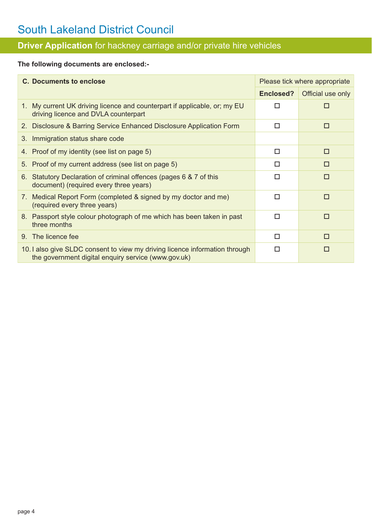### **Driver Application** for hackney carriage and/or private hire vehicles

#### **The following documents are enclosed:-**

| <b>C. Documents to enclose</b>                                                                                                     | Please tick where appropriate |                   |
|------------------------------------------------------------------------------------------------------------------------------------|-------------------------------|-------------------|
|                                                                                                                                    | Enclosed?                     | Official use only |
| 1. My current UK driving licence and counterpart if applicable, or; my EU<br>driving licence and DVLA counterpart                  | п                             | п                 |
| 2. Disclosure & Barring Service Enhanced Disclosure Application Form                                                               | п                             | □                 |
| 3. Immigration status share code                                                                                                   |                               |                   |
| 4. Proof of my identity (see list on page 5)                                                                                       | П                             | п                 |
| 5. Proof of my current address (see list on page 5)                                                                                | п                             | п                 |
| 6. Statutory Declaration of criminal offences (pages 6 & 7 of this<br>document) (required every three years)                       | п                             | п                 |
| 7. Medical Report Form (completed & signed by my doctor and me)<br>(required every three years)                                    | п                             | П                 |
| 8. Passport style colour photograph of me which has been taken in past<br>three months                                             | п                             | п                 |
| 9. The licence fee                                                                                                                 | П                             | п                 |
| 10. I also give SLDC consent to view my driving licence information through<br>the government digital enquiry service (www.gov.uk) | П                             | п                 |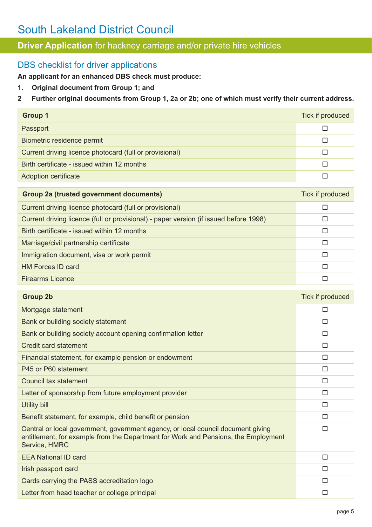### **Driver Application** for hackney carriage and/or private hire vehicles

### DBS checklist for driver applications

**An applicant for an enhanced DBS check must produce:** 

**1. Original document from Group 1; and** 

#### **2 Further original documents from Group 1, 2a or 2b; one of which must verify their current address.**

| Group 1                                                 | Tick if produced |
|---------------------------------------------------------|------------------|
| Passport                                                |                  |
| Biometric residence permit                              |                  |
| Current driving licence photocard (full or provisional) |                  |
| Birth certificate - issued within 12 months             |                  |
| Adoption certificate                                    |                  |

| <b>Group 2a (trusted government documents)</b>                                        | Tick if produced |
|---------------------------------------------------------------------------------------|------------------|
| Current driving licence photocard (full or provisional)                               | П                |
| Current driving licence (full or provisional) - paper version (if issued before 1998) |                  |
| Birth certificate - issued within 12 months                                           | П                |
| Marriage/civil partnership certificate                                                | П                |
| Immigration document, visa or work permit                                             | П                |
| <b>HM Forces ID card</b>                                                              | П                |
| <b>Firearms Licence</b>                                                               |                  |

| <b>Group 2b</b>                                                                                                                                                                         | Tick if produced |
|-----------------------------------------------------------------------------------------------------------------------------------------------------------------------------------------|------------------|
| Mortgage statement                                                                                                                                                                      | □                |
| Bank or building society statement                                                                                                                                                      | □                |
| Bank or building society account opening confirmation letter                                                                                                                            | П                |
| Credit card statement                                                                                                                                                                   | □                |
| Financial statement, for example pension or endowment                                                                                                                                   | □                |
| P45 or P60 statement                                                                                                                                                                    | П                |
| Council tax statement                                                                                                                                                                   | □                |
| Letter of sponsorship from future employment provider                                                                                                                                   | □                |
| Utility bill                                                                                                                                                                            | П                |
| Benefit statement, for example, child benefit or pension                                                                                                                                | П                |
| Central or local government, government agency, or local council document giving<br>entitlement, for example from the Department for Work and Pensions, the Employment<br>Service, HMRC | П                |
| <b>EEA National ID card</b>                                                                                                                                                             | □                |
| Irish passport card                                                                                                                                                                     | п                |
| Cards carrying the PASS accreditation logo                                                                                                                                              | п                |
| Letter from head teacher or college principal                                                                                                                                           | П                |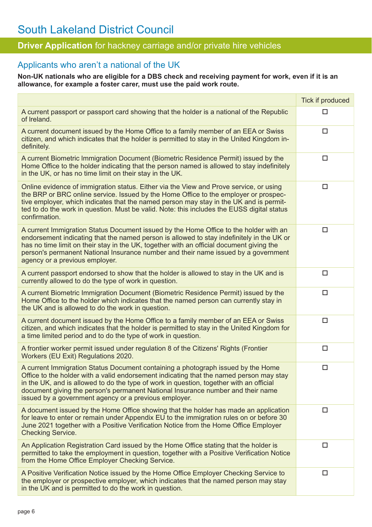### **Driver Application** for hackney carriage and/or private hire vehicles

### Applicants who aren't a national of the UK

**Non-UK nationals who are eligible for a DBS check and receiving payment for work, even if it is an allowance, for example a foster carer, must use the paid work route.**

|                                                                                                                                                                                                                                                                                                                                                                                                                    | Tick if produced |
|--------------------------------------------------------------------------------------------------------------------------------------------------------------------------------------------------------------------------------------------------------------------------------------------------------------------------------------------------------------------------------------------------------------------|------------------|
| A current passport or passport card showing that the holder is a national of the Republic<br>of Ireland.                                                                                                                                                                                                                                                                                                           | □                |
| A current document issued by the Home Office to a family member of an EEA or Swiss<br>citizen, and which indicates that the holder is permitted to stay in the United Kingdom in-<br>definitely.                                                                                                                                                                                                                   | □                |
| A current Biometric Immigration Document (Biometric Residence Permit) issued by the<br>Home Office to the holder indicating that the person named is allowed to stay indefinitely<br>in the UK, or has no time limit on their stay in the UK.                                                                                                                                                                      | □                |
| Online evidence of immigration status. Either via the View and Prove service, or using<br>the BRP or BRC online service. Issued by the Home Office to the employer or prospec-<br>tive employer, which indicates that the named person may stay in the UK and is permit-<br>ted to do the work in question. Must be valid. Note: this includes the EUSS digital status<br>confirmation.                            | $\Box$           |
| A current Immigration Status Document issued by the Home Office to the holder with an<br>endorsement indicating that the named person is allowed to stay indefinitely in the UK or<br>has no time limit on their stay in the UK, together with an official document giving the<br>person's permanent National Insurance number and their name issued by a government<br>agency or a previous employer.             | □                |
| A current passport endorsed to show that the holder is allowed to stay in the UK and is<br>currently allowed to do the type of work in question.                                                                                                                                                                                                                                                                   | □                |
| A current Biometric Immigration Document (Biometric Residence Permit) issued by the<br>Home Office to the holder which indicates that the named person can currently stay in<br>the UK and is allowed to do the work in question.                                                                                                                                                                                  | □                |
| A current document issued by the Home Office to a family member of an EEA or Swiss<br>citizen, and which indicates that the holder is permitted to stay in the United Kingdom for<br>a time limited period and to do the type of work in question.                                                                                                                                                                 | $\Box$           |
| A frontier worker permit issued under regulation 8 of the Citizens' Rights (Frontier<br>Workers (EU Exit) Regulations 2020.                                                                                                                                                                                                                                                                                        | □                |
| A current Immigration Status Document containing a photograph issued by the Home<br>Office to the holder with a valid endorsement indicating that the named person may stay<br>in the UK, and is allowed to do the type of work in question, together with an official<br>document giving the person's permanent National Insurance number and their name<br>issued by a government agency or a previous employer. | □                |
| A document issued by the Home Office showing that the holder has made an application<br>for leave to enter or remain under Appendix EU to the immigration rules on or before 30<br>June 2021 together with a Positive Verification Notice from the Home Office Employer<br><b>Checking Service.</b>                                                                                                                | □                |
| An Application Registration Card issued by the Home Office stating that the holder is<br>permitted to take the employment in question, together with a Positive Verification Notice<br>from the Home Office Employer Checking Service.                                                                                                                                                                             | □                |
| A Positive Verification Notice issued by the Home Office Employer Checking Service to<br>the employer or prospective employer, which indicates that the named person may stay<br>in the UK and is permitted to do the work in question.                                                                                                                                                                            | □                |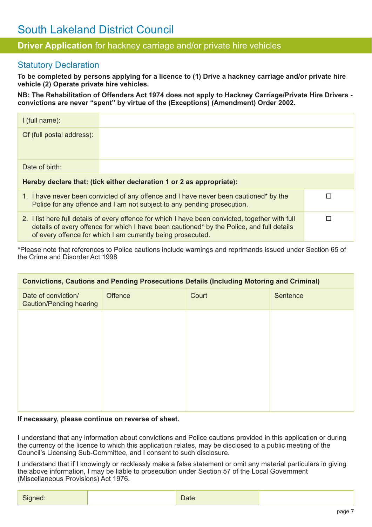### **Driver Application** for hackney carriage and/or private hire vehicles

#### Statutory Declaration

**To be completed by persons applying for a licence to (1) Drive a hackney carriage and/or private hire vehicle (2) Operate private hire vehicles.** 

**NB: The Rehabilitation of Offenders Act 1974 does not apply to Hackney Carriage/Private Hire Drivers convictions are never "spent" by virtue of the (Exceptions) (Amendment) Order 2002.**

| $l$ (full name):                                                      |                                                                                                                                                                                                                                                              |  |
|-----------------------------------------------------------------------|--------------------------------------------------------------------------------------------------------------------------------------------------------------------------------------------------------------------------------------------------------------|--|
| Of (full postal address):                                             |                                                                                                                                                                                                                                                              |  |
| Date of birth:                                                        |                                                                                                                                                                                                                                                              |  |
| Hereby declare that: (tick either declaration 1 or 2 as appropriate): |                                                                                                                                                                                                                                                              |  |
|                                                                       | 1. I have never been convicted of any offence and I have never been cautioned* by the<br>Police for any offence and I am not subject to any pending prosecution.                                                                                             |  |
|                                                                       | 2. I list here full details of every offence for which I have been convicted, together with full<br>details of every offence for which I have been cautioned* by the Police, and full details<br>of every offence for which I am currently being prosecuted. |  |

\*Please note that references to Police cautions include warnings and reprimands issued under Section 65 of the Crime and Disorder Act 1998

| <b>Convictions, Cautions and Pending Prosecutions Details (Including Motoring and Criminal)</b> |         |       |          |  |
|-------------------------------------------------------------------------------------------------|---------|-------|----------|--|
| Date of conviction/<br><b>Caution/Pending hearing</b>                                           | Offence | Court | Sentence |  |
|                                                                                                 |         |       |          |  |
|                                                                                                 |         |       |          |  |
|                                                                                                 |         |       |          |  |
|                                                                                                 |         |       |          |  |
|                                                                                                 |         |       |          |  |
|                                                                                                 |         |       |          |  |

#### **If necessary, please continue on reverse of sheet.**

I understand that any information about convictions and Police cautions provided in this application or during the currency of the licence to which this application relates, may be disclosed to a public meeting of the Council's Licensing Sub-Committee, and I consent to such disclosure.

I understand that if I knowingly or recklessly make a false statement or omit any material particulars in giving the above information, I may be liable to prosecution under Section 57 of the Local Government (Miscellaneous Provisions) Act 1976.

| Signed: |  | Date: |  |
|---------|--|-------|--|
|---------|--|-------|--|